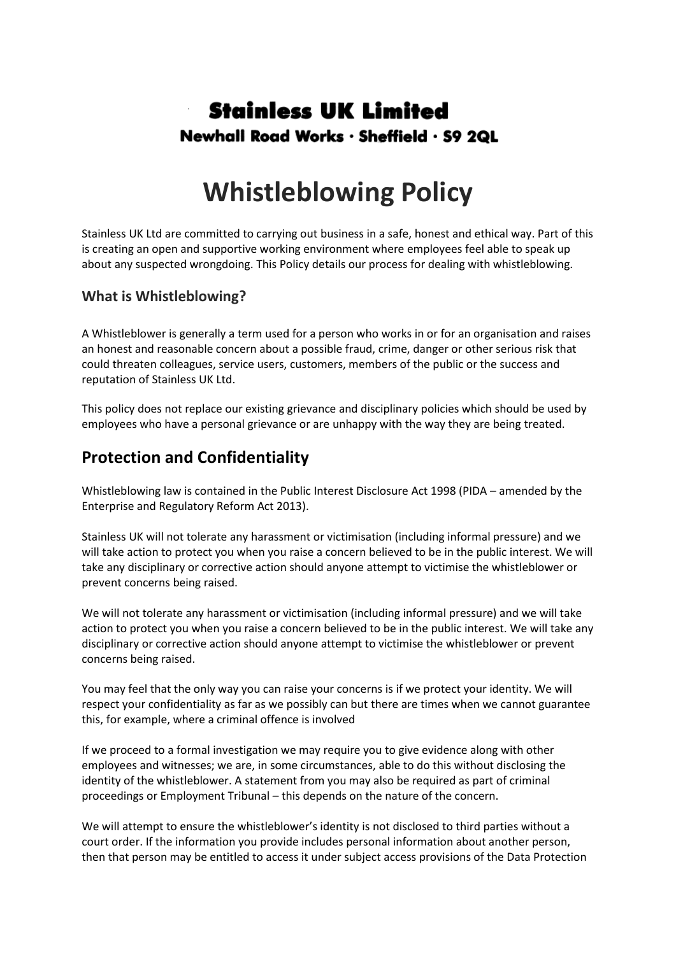## **Stainless UK Limited** Newhall Road Works · Sheffield · S9 2QL

# **Whistleblowing Policy**

Stainless UK Ltd are committed to carrying out business in a safe, honest and ethical way. Part of this is creating an open and supportive working environment where employees feel able to speak up about any suspected wrongdoing. This Policy details our process for dealing with whistleblowing.

#### **What is Whistleblowing?**

A Whistleblower is generally a term used for a person who works in or for an organisation and raises an honest and reasonable concern about a possible fraud, crime, danger or other serious risk that could threaten colleagues, service users, customers, members of the public or the success and reputation of Stainless UK Ltd.

This policy does not replace our existing grievance and disciplinary policies which should be used by employees who have a personal grievance or are unhappy with the way they are being treated.

### **Protection and Confidentiality**

Whistleblowing law is contained in the Public Interest Disclosure Act 1998 (PIDA – amended by the Enterprise and Regulatory Reform Act 2013).

Stainless UK will not tolerate any harassment or victimisation (including informal pressure) and we will take action to protect you when you raise a concern believed to be in the public interest. We will take any disciplinary or corrective action should anyone attempt to victimise the whistleblower or prevent concerns being raised.

We will not tolerate any harassment or victimisation (including informal pressure) and we will take action to protect you when you raise a concern believed to be in the public interest. We will take any disciplinary or corrective action should anyone attempt to victimise the whistleblower or prevent concerns being raised.

You may feel that the only way you can raise your concerns is if we protect your identity. We will respect your confidentiality as far as we possibly can but there are times when we cannot guarantee this, for example, where a criminal offence is involved

If we proceed to a formal investigation we may require you to give evidence along with other employees and witnesses; we are, in some circumstances, able to do this without disclosing the identity of the whistleblower. A statement from you may also be required as part of criminal proceedings or Employment Tribunal – this depends on the nature of the concern.

We will attempt to ensure the whistleblower's identity is not disclosed to third parties without a court order. If the information you provide includes personal information about another person, then that person may be entitled to access it under subject access provisions of the Data Protection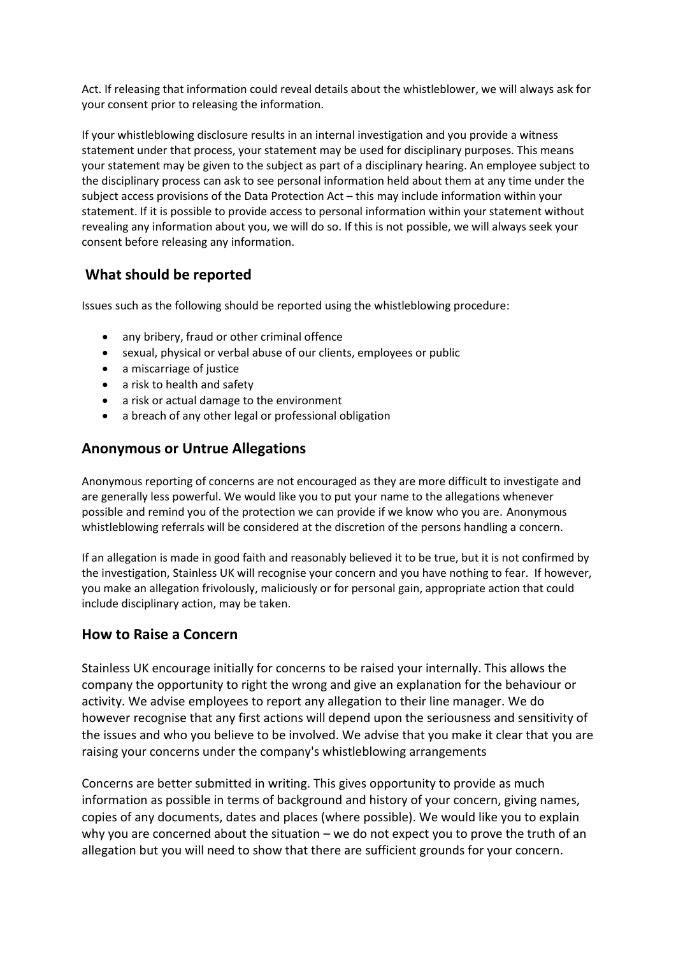Act. If releasing that information could reveal details about the whistleblower, we will always ask for your consent prior to releasing the information.

If your whistleblowing disclosure results in an internal investigation and you provide a witness statement under that process, your statement may be used for disciplinary purposes. This means your statement may be given to the subject as part of a disciplinary hearing. An employee subject to the disciplinary process can ask to see personal information held about them at any time under the subject access provisions of the Data Protection Act – this may include information within your statement. If it is possible to provide access to personal information within your statement without revealing any information about you, we will do so. If this is not possible, we will always seek your consent before releasing any information.

#### **What should be reported**

Issues such as the following should be reported using the whistleblowing procedure:

- any bribery, fraud or other criminal offence
- sexual, physical or verbal abuse of our clients, employees or public
- a miscarriage of justice
- a risk to health and safety
- a risk or actual damage to the environment
- a breach of any other legal or professional obligation

#### **Anonymous or Untrue Allegations**

Anonymous reporting of concerns are not encouraged as they are more difficult to investigate and are generally less powerful. We would like you to put your name to the allegations whenever possible and remind you of the protection we can provide if we know who you are. Anonymous whistleblowing referrals will be considered at the discretion of the persons handling a concern.

If an allegation is made in good faith and reasonably believed it to be true, but it is not confirmed by the investigation, Stainless UK will recognise your concern and you have nothing to fear. If however, you make an allegation frivolously, maliciously or for personal gain, appropriate action that could include disciplinary action, may be taken.

#### **How to Raise a Concern**

Stainless UK encourage initially for concerns to be raised your internally. This allows the company the opportunity to right the wrong and give an explanation for the behaviour or activity. We advise employees to report any allegation to their line manager. We do however recognise that any first actions will depend upon the seriousness and sensitivity of the issues and who you believe to be involved. We advise that you make it clear that you are raising your concerns under the company's whistleblowing arrangements

Concerns are better submitted in writing. This gives opportunity to provide as much information as possible in terms of background and history of your concern, giving names, copies of any documents, dates and places (where possible). We would like you to explain why you are concerned about the situation – we do not expect you to prove the truth of an allegation but you will need to show that there are sufficient grounds for your concern.